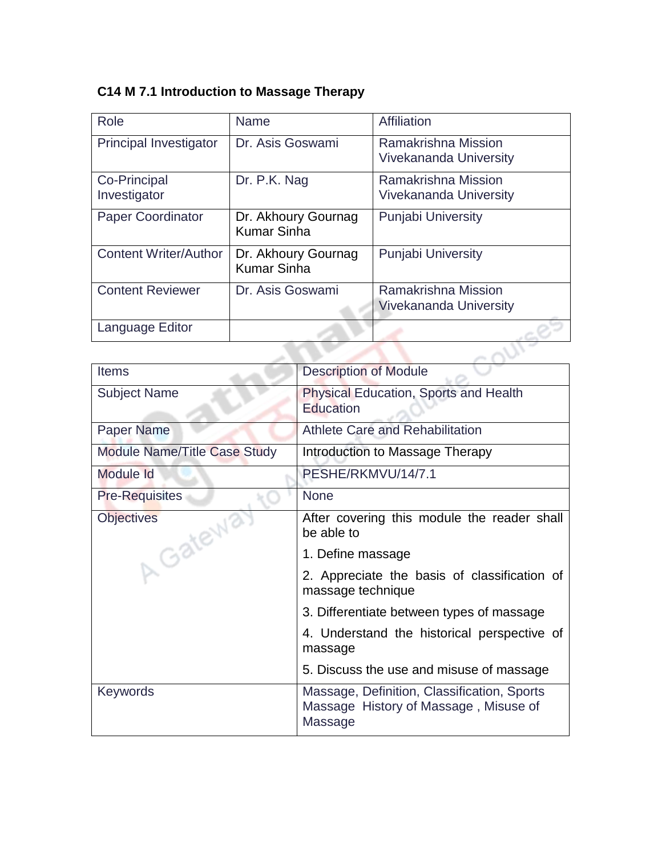# **C14 M 7.1 Introduction to Massage Therapy**

| Role                          | <b>Name</b>                               | Affiliation                                          |
|-------------------------------|-------------------------------------------|------------------------------------------------------|
| <b>Principal Investigator</b> | Dr. Asis Goswami                          | Ramakrishna Mission<br><b>Vivekananda University</b> |
|                               |                                           |                                                      |
| Co-Principal<br>Investigator  | Dr. P.K. Nag                              | Ramakrishna Mission<br><b>Vivekananda University</b> |
| <b>Paper Coordinator</b>      | Dr. Akhoury Gournag<br><b>Kumar Sinha</b> | <b>Punjabi University</b>                            |
| <b>Content Writer/Author</b>  | Dr. Akhoury Gournag<br><b>Kumar Sinha</b> | <b>Punjabi University</b>                            |
| <b>Content Reviewer</b>       | Dr. Asis Goswami                          | Ramakrishna Mission                                  |
|                               |                                           | <b>Vivekananda University</b>                        |
| Language Editor               |                                           |                                                      |
|                               |                                           |                                                      |

| <b>Items</b>                        | <b>Description of Module</b>                                                                    |  |
|-------------------------------------|-------------------------------------------------------------------------------------------------|--|
| <b>Subject Name</b>                 | <b>Physical Education, Sports and Health</b><br>Education                                       |  |
| <b>Paper Name</b>                   | <b>Athlete Care and Rehabilitation</b>                                                          |  |
| <b>Module Name/Title Case Study</b> | Introduction to Massage Therapy                                                                 |  |
| Module Id                           | PESHE/RKMVU/14/7.1                                                                              |  |
| <b>Pre-Requisites</b>               | <b>None</b>                                                                                     |  |
| <b>Objectives</b><br>Gatew          | After covering this module the reader shall<br>be able to                                       |  |
|                                     | 1. Define massage                                                                               |  |
|                                     | 2. Appreciate the basis of classification of<br>massage technique                               |  |
|                                     | 3. Differentiate between types of massage                                                       |  |
|                                     | 4. Understand the historical perspective of<br>massage                                          |  |
|                                     | 5. Discuss the use and misuse of massage                                                        |  |
| <b>Keywords</b>                     | Massage, Definition, Classification, Sports<br>Massage History of Massage, Misuse of<br>Massage |  |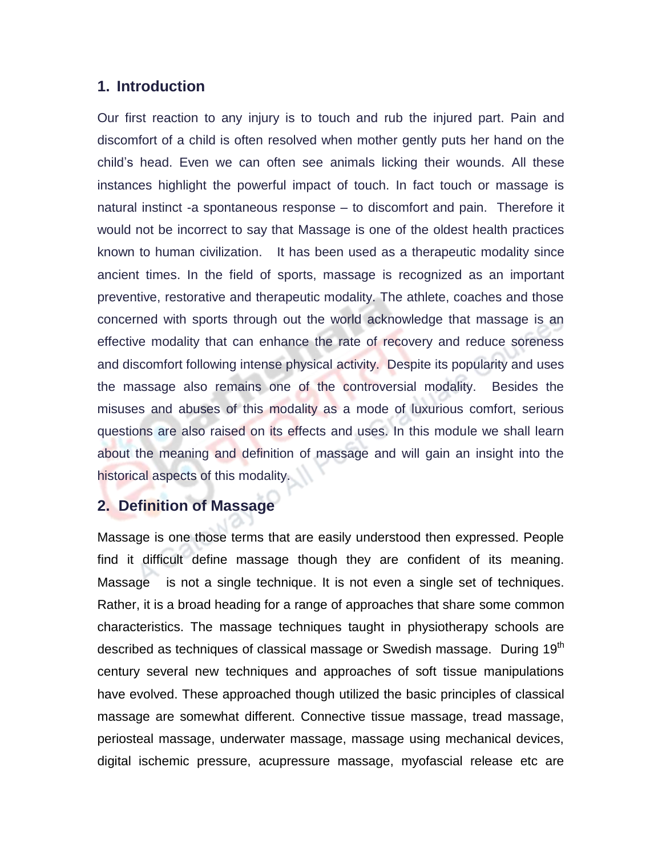# **1. Introduction**

Our first reaction to any injury is to touch and rub the injured part. Pain and discomfort of a child is often resolved when mother gently puts her hand on the child's head. Even we can often see animals licking their wounds. All these instances highlight the powerful impact of touch. In fact touch or massage is natural instinct -a spontaneous response – to discomfort and pain. Therefore it would not be incorrect to say that Massage is one of the oldest health practices known to human civilization. It has been used as a therapeutic modality since ancient times. In the field of sports, massage is recognized as an important preventive, restorative and therapeutic modality. The athlete, coaches and those concerned with sports through out the world acknowledge that massage is an effective modality that can enhance the rate of recovery and reduce soreness and discomfort following intense physical activity. Despite its popularity and uses the massage also remains one of the controversial modality. Besides the misuses and abuses of this modality as a mode of luxurious comfort, serious questions are also raised on its effects and uses. In this module we shall learn about the meaning and definition of massage and will gain an insight into the historical aspects of this modality.

# **2. Definition of Massage**

Massage is one those terms that are easily understood then expressed. People find it difficult define massage though they are confident of its meaning. Massage is not a single technique. It is not even a single set of techniques. Rather, it is a broad heading for a range of approaches that share some common characteristics. The massage techniques taught in physiotherapy schools are described as techniques of classical massage or Swedish massage. During 19<sup>th</sup> century several new techniques and approaches of soft tissue manipulations have evolved. These approached though utilized the basic principles of classical massage are somewhat different. Connective tissue massage, tread massage, periosteal massage, underwater massage, massage using mechanical devices, digital ischemic pressure, acupressure massage, myofascial release etc are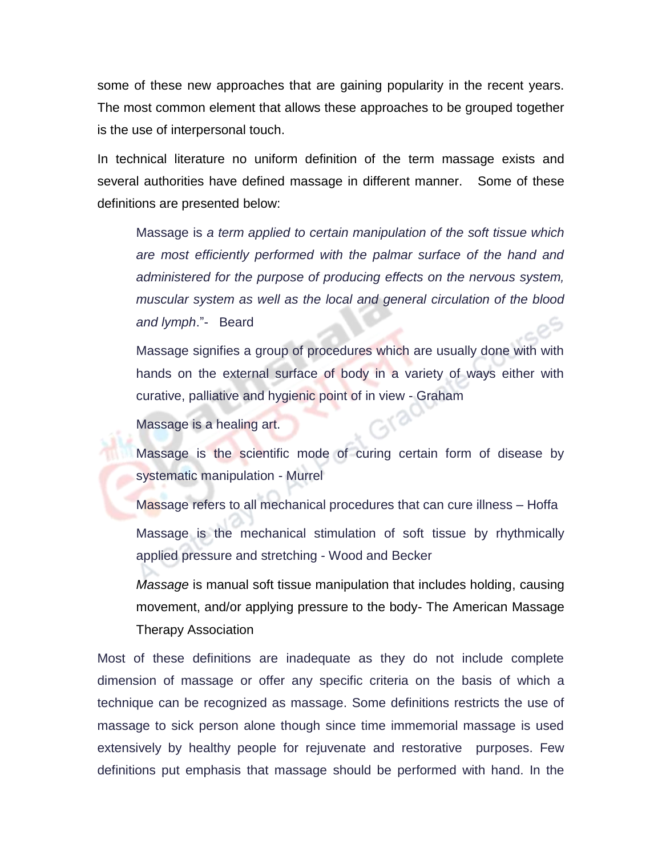some of these new approaches that are gaining popularity in the recent years. The most common element that allows these approaches to be grouped together is the use of interpersonal touch.

In technical literature no uniform definition of the term massage exists and several authorities have defined massage in different manner. Some of these definitions are presented below:

Massage is *a term applied to certain manipulation of the soft tissue which are most efficiently performed with the palmar surface of the hand and administered for the purpose of producing effects on the nervous system, muscular system as well as the local and general circulation of the blood and lymph*."- Beard

Massage signifies a group of procedures which are usually done with with hands on the external surface of body in a variety of ways either with curative, palliative and hygienic point of in view - Graham

Massage is a healing art.

Massage is the scientific mode of curing certain form of disease by systematic manipulation - Murrel

Massage refers to all mechanical procedures that can cure illness – Hoffa

Massage is the mechanical stimulation of soft tissue by rhythmically applied pressure and stretching - Wood and Becker

*Massage* is manual soft tissue manipulation that includes holding, causing movement, and/or applying pressure to the body- The American Massage Therapy Association

Most of these definitions are inadequate as they do not include complete dimension of massage or offer any specific criteria on the basis of which a technique can be recognized as massage. Some definitions restricts the use of massage to sick person alone though since time immemorial massage is used extensively by healthy people for rejuvenate and restorative purposes. Few definitions put emphasis that massage should be performed with hand. In the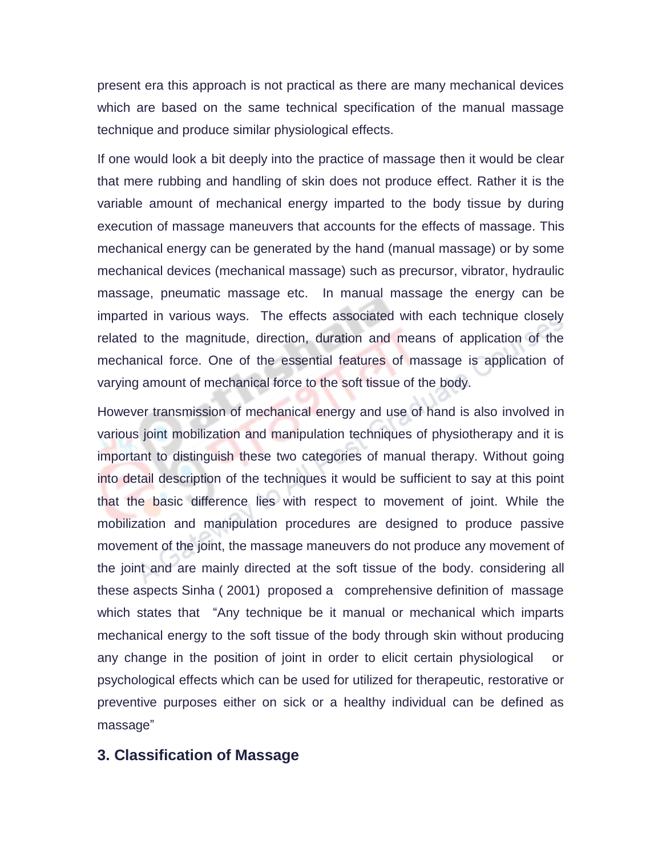present era this approach is not practical as there are many mechanical devices which are based on the same technical specification of the manual massage technique and produce similar physiological effects.

If one would look a bit deeply into the practice of massage then it would be clear that mere rubbing and handling of skin does not produce effect. Rather it is the variable amount of mechanical energy imparted to the body tissue by during execution of massage maneuvers that accounts for the effects of massage. This mechanical energy can be generated by the hand (manual massage) or by some mechanical devices (mechanical massage) such as precursor, vibrator, hydraulic massage, pneumatic massage etc. In manual massage the energy can be imparted in various ways. The effects associated with each technique closely related to the magnitude, direction, duration and means of application of the mechanical force. One of the essential features of massage is application of varying amount of mechanical force to the soft tissue of the body.

However transmission of mechanical energy and use of hand is also involved in various joint mobilization and manipulation techniques of physiotherapy and it is important to distinguish these two categories of manual therapy. Without going into detail description of the techniques it would be sufficient to say at this point that the basic difference lies with respect to movement of joint. While the mobilization and manipulation procedures are designed to produce passive movement of the joint, the massage maneuvers do not produce any movement of the joint and are mainly directed at the soft tissue of the body. considering all these aspects Sinha ( 2001) proposed a comprehensive definition of massage which states that "Any technique be it manual or mechanical which imparts mechanical energy to the soft tissue of the body through skin without producing any change in the position of joint in order to elicit certain physiological or psychological effects which can be used for utilized for therapeutic, restorative or preventive purposes either on sick or a healthy individual can be defined as massage"

# **3. Classification of Massage**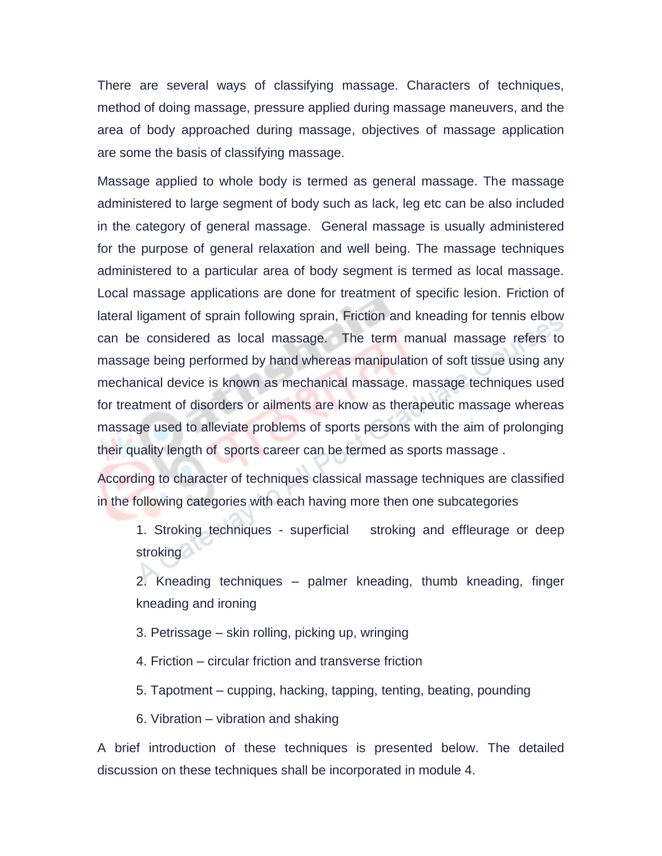There are several ways of classifying massage. Characters of techniques, method of doing massage, pressure applied during massage maneuvers, and the area of body approached during massage, objectives of massage application are some the basis of classifying massage.

Massage applied to whole body is termed as general massage. The massage administered to large segment of body such as lack, leg etc can be also included in the category of general massage. General massage is usually administered for the purpose of general relaxation and well being. The massage techniques administered to a particular area of body segment is termed as local massage. Local massage applications are done for treatment of specific lesion. Friction of lateral ligament of sprain following sprain, Friction and kneading for tennis elbow can be considered as local massage. The term manual massage refers to massage being performed by hand whereas manipulation of soft tissue using any mechanical device is known as mechanical massage. massage techniques used for treatment of disorders or ailments are know as therapeutic massage whereas massage used to alleviate problems of sports persons with the aim of prolonging their quality length of sports career can be termed as sports massage .

According to character of techniques classical massage techniques are classified in the following categories with each having more then one subcategories

1. Stroking techniques - superficial stroking and effleurage or deep stroking

2. Kneading techniques – palmer kneading, thumb kneading, finger kneading and ironing

- 3. Petrissage skin rolling, picking up, wringing
- 4. Friction circular friction and transverse friction
- 5. Tapotment cupping, hacking, tapping, tenting, beating, pounding
- 6. Vibration vibration and shaking

A brief introduction of these techniques is presented below. The detailed discussion on these techniques shall be incorporated in module 4.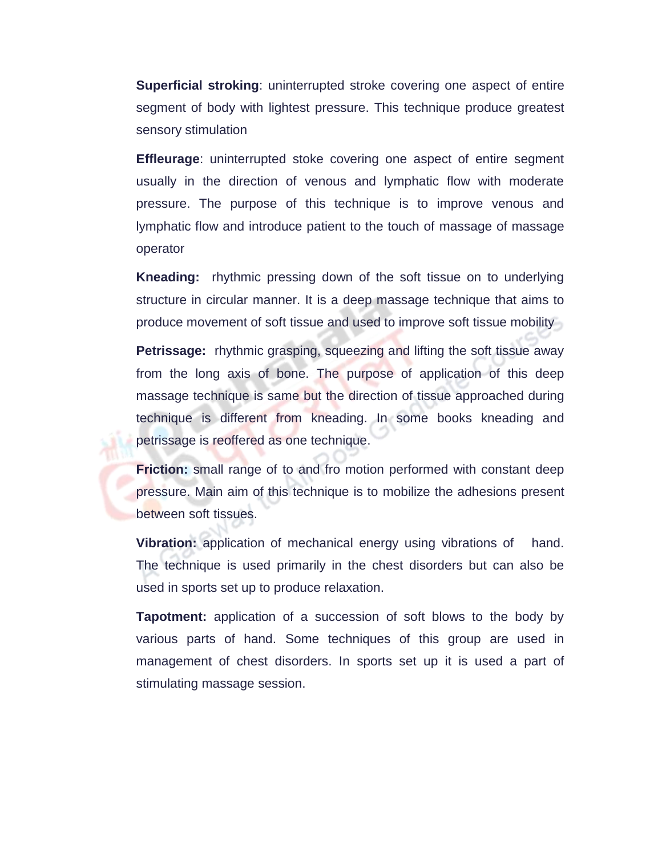**Superficial stroking**: uninterrupted stroke covering one aspect of entire segment of body with lightest pressure. This technique produce greatest sensory stimulation

**Effleurage**: uninterrupted stoke covering one aspect of entire segment usually in the direction of venous and lymphatic flow with moderate pressure. The purpose of this technique is to improve venous and lymphatic flow and introduce patient to the touch of massage of massage operator

**Kneading:** rhythmic pressing down of the soft tissue on to underlying structure in circular manner. It is a deep massage technique that aims to produce movement of soft tissue and used to improve soft tissue mobility

**Petrissage:** rhythmic grasping, squeezing and lifting the soft tissue away from the long axis of bone. The purpose of application of this deep massage technique is same but the direction of tissue approached during technique is different from kneading. In some books kneading and petrissage is reoffered as one technique.

**Friction:** small range of to and fro motion performed with constant deep pressure. Main aim of this technique is to mobilize the adhesions present between soft tissues.

**Vibration:** application of mechanical energy using vibrations of hand. The technique is used primarily in the chest disorders but can also be used in sports set up to produce relaxation.

**Tapotment:** application of a succession of soft blows to the body by various parts of hand. Some techniques of this group are used in management of chest disorders. In sports set up it is used a part of stimulating massage session.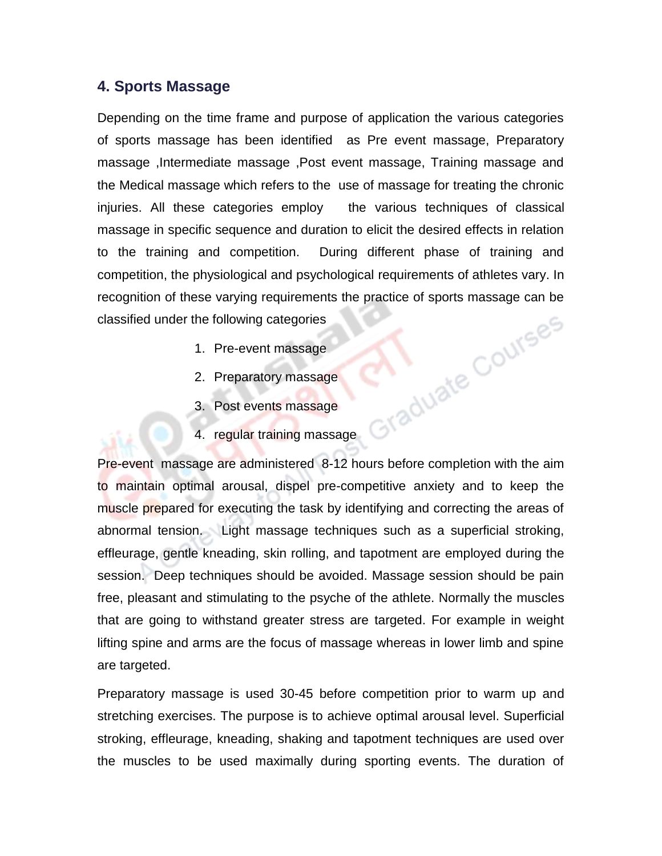# **4. Sports Massage**

Depending on the time frame and purpose of application the various categories of sports massage has been identified as Pre event massage, Preparatory massage ,Intermediate massage ,Post event massage, Training massage and the Medical massage which refers to the use of massage for treating the chronic injuries. All these categories employ the various techniques of classical massage in specific sequence and duration to elicit the desired effects in relation to the training and competition. During different phase of training and competition, the physiological and psychological requirements of athletes vary. In recognition of these varying requirements the practice of sports massage can be classified under the following categories<br>
1. Pre-event massage<br>
2. Preparatory massage<br>
3. Post events classified under the following categories

- 1. Pre-event massage
- 2. Preparatory massage
- 3. Post events massage
- 4. regular training massage

Pre-event massage are administered 8-12 hours before completion with the aim to maintain optimal arousal, dispel pre-competitive anxiety and to keep the muscle prepared for executing the task by identifying and correcting the areas of abnormal tension. Light massage techniques such as a superficial stroking, effleurage, gentle kneading, skin rolling, and tapotment are employed during the session. Deep techniques should be avoided. Massage session should be pain free, pleasant and stimulating to the psyche of the athlete. Normally the muscles that are going to withstand greater stress are targeted. For example in weight lifting spine and arms are the focus of massage whereas in lower limb and spine are targeted.

Preparatory massage is used 30-45 before competition prior to warm up and stretching exercises. The purpose is to achieve optimal arousal level. Superficial stroking, effleurage, kneading, shaking and tapotment techniques are used over the muscles to be used maximally during sporting events. The duration of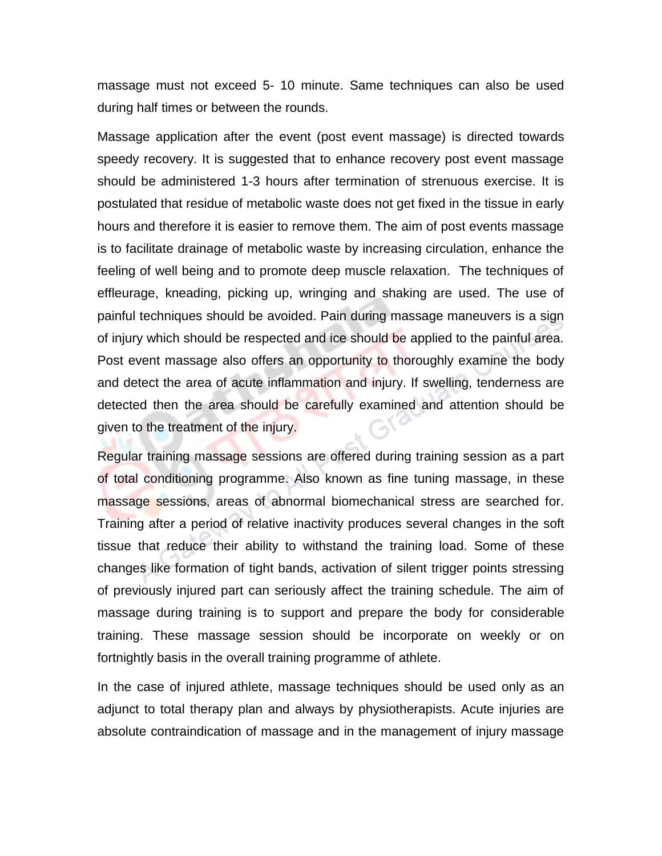massage must not exceed 5- 10 minute. Same techniques can also be used during half times or between the rounds.

Massage application after the event (post event massage) is directed towards speedy recovery. It is suggested that to enhance recovery post event massage should be administered 1-3 hours after termination of strenuous exercise. It is postulated that residue of metabolic waste does not get fixed in the tissue in early hours and therefore it is easier to remove them. The aim of post events massage is to facilitate drainage of metabolic waste by increasing circulation, enhance the feeling of well being and to promote deep muscle relaxation. The techniques of effleurage, kneading, picking up, wringing and shaking are used. The use of painful techniques should be avoided. Pain during massage maneuvers is a sign of injury which should be respected and ice should be applied to the painful area. Post event massage also offers an opportunity to thoroughly examine the body and detect the area of acute inflammation and injury. If swelling, tenderness are detected then the area should be carefully examined and attention should be given to the treatment of the injury.

Regular training massage sessions are offered during training session as a part of total conditioning programme. Also known as fine tuning massage, in these massage sessions, areas of abnormal biomechanical stress are searched for. Training after a period of relative inactivity produces several changes in the soft tissue that reduce their ability to withstand the training load. Some of these changes like formation of tight bands, activation of silent trigger points stressing of previously injured part can seriously affect the training schedule. The aim of massage during training is to support and prepare the body for considerable training. These massage session should be incorporate on weekly or on fortnightly basis in the overall training programme of athlete.

In the case of injured athlete, massage techniques should be used only as an adjunct to total therapy plan and always by physiotherapists. Acute injuries are absolute contraindication of massage and in the management of injury massage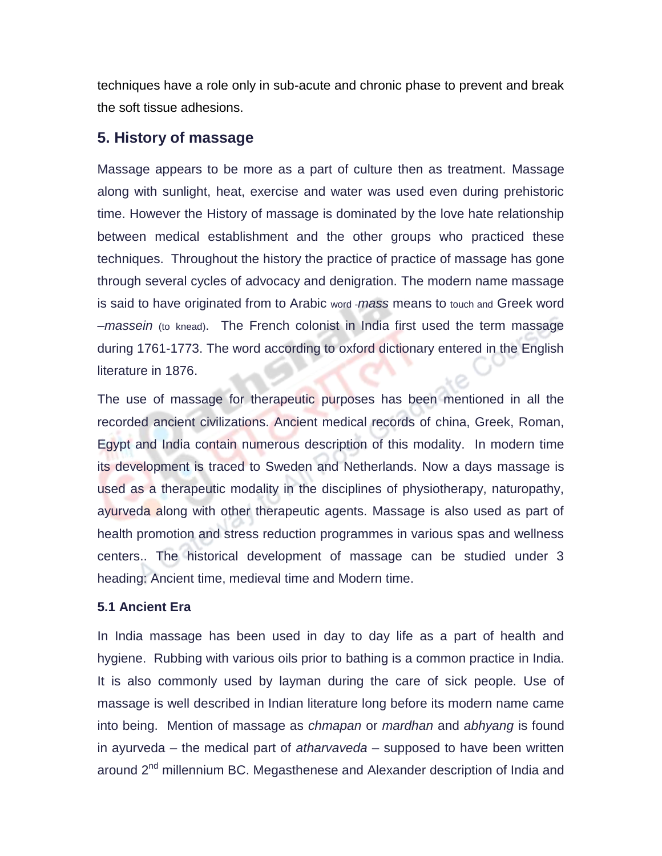techniques have a role only in sub-acute and chronic phase to prevent and break the soft tissue adhesions.

# **5. History of massage**

Massage appears to be more as a part of culture then as treatment. Massage along with sunlight, heat, exercise and water was used even during prehistoric time. However the History of massage is dominated by the love hate relationship between medical establishment and the other groups who practiced these techniques. Throughout the history the practice of practice of massage has gone through several cycles of advocacy and denigration. The modern name massage is said to have originated from to Arabic word -*mass* means to touch and Greek word –*massein* (to knead). The French colonist in India first used the term massage during 1761-1773. The word according to oxford dictionary entered in the English literature in 1876.

The use of massage for therapeutic purposes has been mentioned in all the recorded ancient civilizations. Ancient medical records of china, Greek, Roman, Egypt and India contain numerous description of this modality. In modern time its development is traced to Sweden and Netherlands. Now a days massage is used as a therapeutic modality in the disciplines of physiotherapy, naturopathy, ayurveda along with other therapeutic agents. Massage is also used as part of health promotion and stress reduction programmes in various spas and wellness centers.. The historical development of massage can be studied under 3 heading: Ancient time, medieval time and Modern time.

#### **5.1 Ancient Era**

In India massage has been used in day to day life as a part of health and hygiene. Rubbing with various oils prior to bathing is a common practice in India. It is also commonly used by layman during the care of sick people. Use of massage is well described in Indian literature long before its modern name came into being. Mention of massage as *chmapan* or *mardhan* and *abhyang* is found in ayurveda – the medical part of *atharvaveda* – supposed to have been written around 2<sup>nd</sup> millennium BC. Megasthenese and Alexander description of India and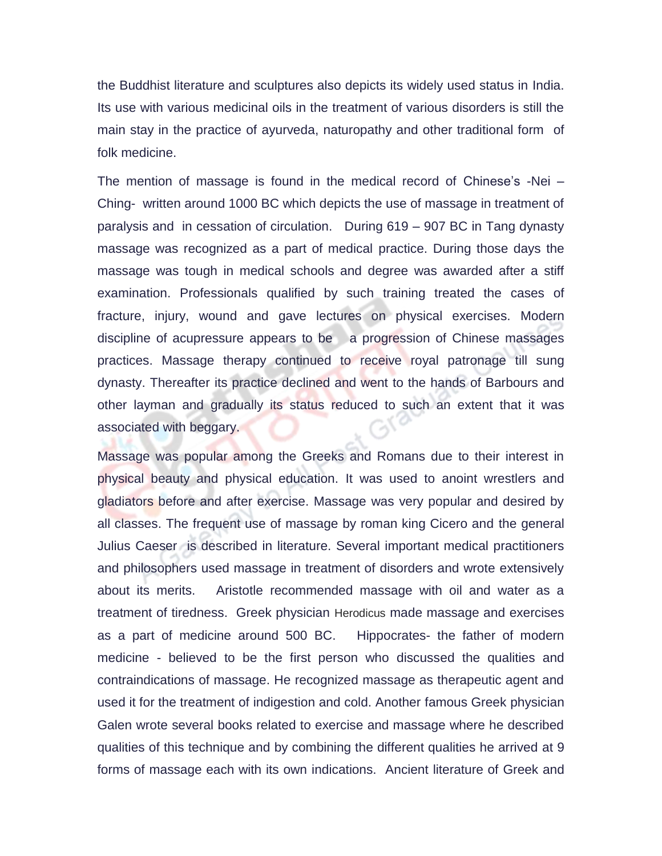the Buddhist literature and sculptures also depicts its widely used status in India. Its use with various medicinal oils in the treatment of various disorders is still the main stay in the practice of ayurveda, naturopathy and other traditional form of folk medicine.

The mention of massage is found in the medical record of Chinese's -Nei – Ching- written around 1000 BC which depicts the use of massage in treatment of paralysis and in cessation of circulation. During 619 – 907 BC in Tang dynasty massage was recognized as a part of medical practice. During those days the massage was tough in medical schools and degree was awarded after a stiff examination. Professionals qualified by such training treated the cases of fracture, injury, wound and gave lectures on physical exercises. Modern discipline of acupressure appears to be a progression of Chinese massages practices. Massage therapy continued to receive royal patronage till sung dynasty. Thereafter its practice declined and went to the hands of Barbours and other layman and gradually its status reduced to such an extent that it was associated with beggary.

Massage was popular among the Greeks and Romans due to their interest in physical beauty and physical education. It was used to anoint wrestlers and gladiators before and after exercise. Massage was very popular and desired by all classes. The frequent use of massage by roman king Cicero and the general Julius Caeser is described in literature. Several important medical practitioners and philosophers used massage in treatment of disorders and wrote extensively about its merits. Aristotle recommended massage with oil and water as a treatment of tiredness. Greek physician Herodicus made massage and exercises as a part of medicine around 500 BC. Hippocrates- the father of modern medicine - believed to be the first person who discussed the qualities and contraindications of massage. He recognized massage as therapeutic agent and used it for the treatment of indigestion and cold. Another famous Greek physician Galen wrote several books related to exercise and massage where he described qualities of this technique and by combining the different qualities he arrived at 9 forms of massage each with its own indications. Ancient literature of Greek and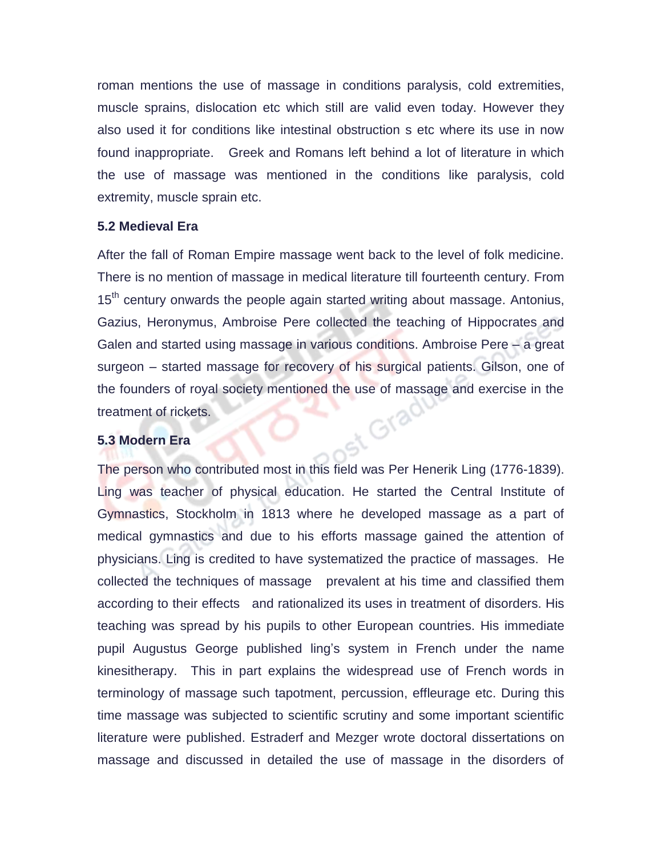roman mentions the use of massage in conditions paralysis, cold extremities, muscle sprains, dislocation etc which still are valid even today. However they also used it for conditions like intestinal obstruction s etc where its use in now found inappropriate. Greek and Romans left behind a lot of literature in which the use of massage was mentioned in the conditions like paralysis, cold extremity, muscle sprain etc.

#### **5.2 Medieval Era**

After the fall of Roman Empire massage went back to the level of folk medicine. There is no mention of massage in medical literature till fourteenth century. From  $15<sup>th</sup>$  century onwards the people again started writing about massage. Antonius, Gazius, Heronymus, Ambroise Pere collected the teaching of Hippocrates and Galen and started using massage in various conditions. Ambroise Pere – a great surgeon – started massage for recovery of his surgical patients. Gilson, one of the founders of royal society mentioned the use of massage and exercise in the treatment of rickets.<br>5.3 Modern Era treatment of rickets.

#### **5.3 Modern Era**

The person who contributed most in this field was Per Henerik Ling (1776-1839). Ling was teacher of physical education. He started the Central Institute of Gymnastics, Stockholm in 1813 where he developed massage as a part of medical gymnastics and due to his efforts massage gained the attention of physicians. Ling is credited to have systematized the practice of massages. He collected the techniques of massage prevalent at his time and classified them according to their effects and rationalized its uses in treatment of disorders. His teaching was spread by his pupils to other European countries. His immediate pupil Augustus George published ling's system in French under the name kinesitherapy. This in part explains the widespread use of French words in terminology of massage such tapotment, percussion, effleurage etc. During this time massage was subjected to scientific scrutiny and some important scientific literature were published. Estraderf and Mezger wrote doctoral dissertations on massage and discussed in detailed the use of massage in the disorders of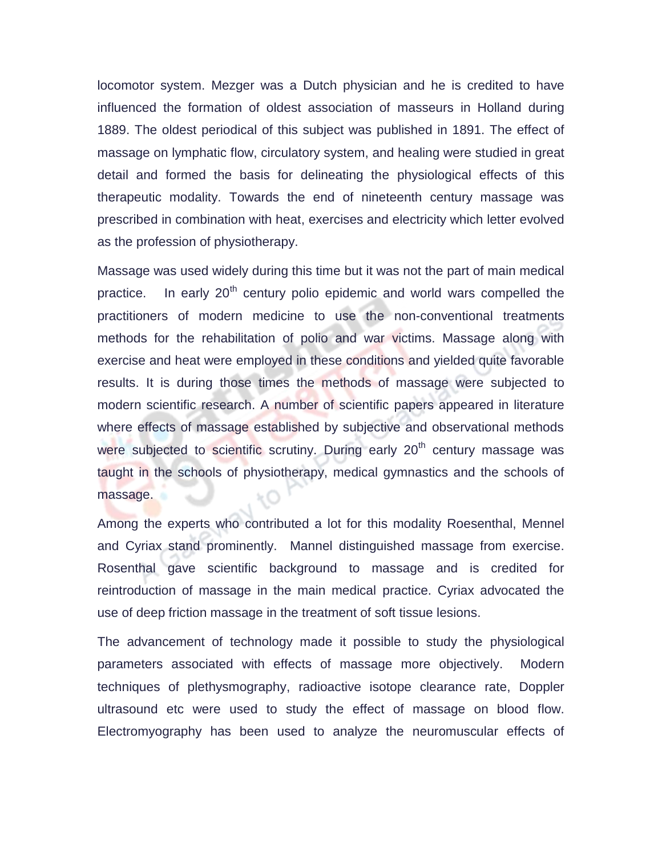locomotor system. Mezger was a Dutch physician and he is credited to have influenced the formation of oldest association of masseurs in Holland during 1889. The oldest periodical of this subject was published in 1891. The effect of massage on lymphatic flow, circulatory system, and healing were studied in great detail and formed the basis for delineating the physiological effects of this therapeutic modality. Towards the end of nineteenth century massage was prescribed in combination with heat, exercises and electricity which letter evolved as the profession of physiotherapy.

Massage was used widely during this time but it was not the part of main medical practice. In early  $20<sup>th</sup>$  century polio epidemic and world wars compelled the practitioners of modern medicine to use the non-conventional treatments methods for the rehabilitation of polio and war victims. Massage along with exercise and heat were employed in these conditions and yielded quite favorable results. It is during those times the methods of massage were subjected to modern scientific research. A number of scientific papers appeared in literature where effects of massage established by subjective and observational methods were subjected to scientific scrutiny. During early  $20<sup>th</sup>$  century massage was taught in the schools of physiotherapy, medical gymnastics and the schools of massage.

Among the experts who contributed a lot for this modality Roesenthal, Mennel and Cyriax stand prominently. Mannel distinguished massage from exercise. Rosenthal gave scientific background to massage and is credited for reintroduction of massage in the main medical practice. Cyriax advocated the use of deep friction massage in the treatment of soft tissue lesions.

The advancement of technology made it possible to study the physiological parameters associated with effects of massage more objectively. Modern techniques of plethysmography, radioactive isotope clearance rate, Doppler ultrasound etc were used to study the effect of massage on blood flow. Electromyography has been used to analyze the neuromuscular effects of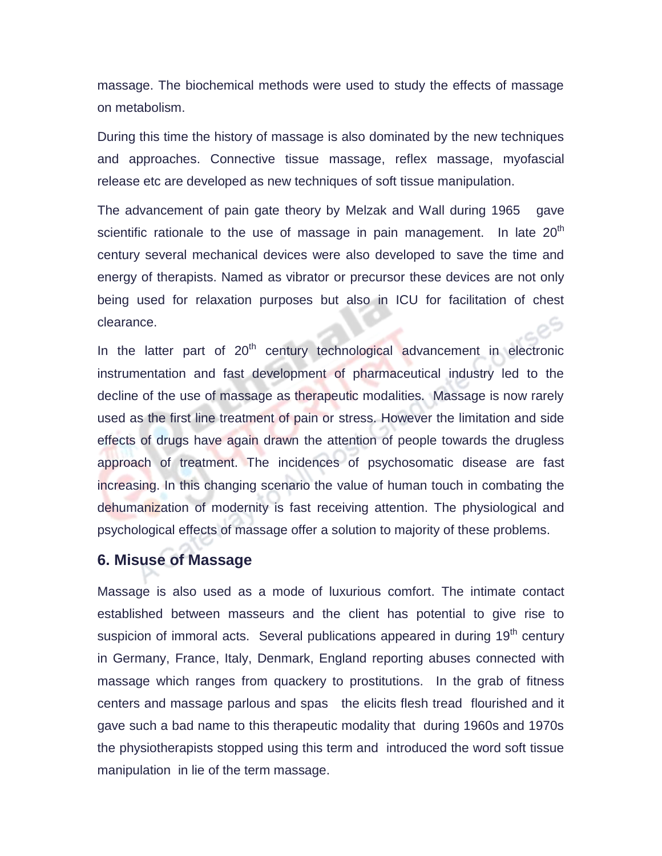massage. The biochemical methods were used to study the effects of massage on metabolism.

During this time the history of massage is also dominated by the new techniques and approaches. Connective tissue massage, reflex massage, myofascial release etc are developed as new techniques of soft tissue manipulation.

The advancement of pain gate theory by Melzak and Wall during 1965 gave scientific rationale to the use of massage in pain management. In late  $20<sup>th</sup>$ century several mechanical devices were also developed to save the time and energy of therapists. Named as vibrator or precursor these devices are not only being used for relaxation purposes but also in ICU for facilitation of chest clearance.

In the latter part of  $20<sup>th</sup>$  century technological advancement in electronic instrumentation and fast development of pharmaceutical industry led to the decline of the use of massage as therapeutic modalities. Massage is now rarely used as the first line treatment of pain or stress. However the limitation and side effects of drugs have again drawn the attention of people towards the drugless approach of treatment. The incidences of psychosomatic disease are fast increasing. In this changing scenario the value of human touch in combating the dehumanization of modernity is fast receiving attention. The physiological and psychological effects of massage offer a solution to majority of these problems.

### **6. Misuse of Massage**

Massage is also used as a mode of luxurious comfort. The intimate contact established between masseurs and the client has potential to give rise to suspicion of immoral acts. Several publications appeared in during  $19<sup>th</sup>$  century in Germany, France, Italy, Denmark, England reporting abuses connected with massage which ranges from quackery to prostitutions. In the grab of fitness centers and massage parlous and spas the elicits flesh tread flourished and it gave such a bad name to this therapeutic modality that during 1960s and 1970s the physiotherapists stopped using this term and introduced the word soft tissue manipulation in lie of the term massage.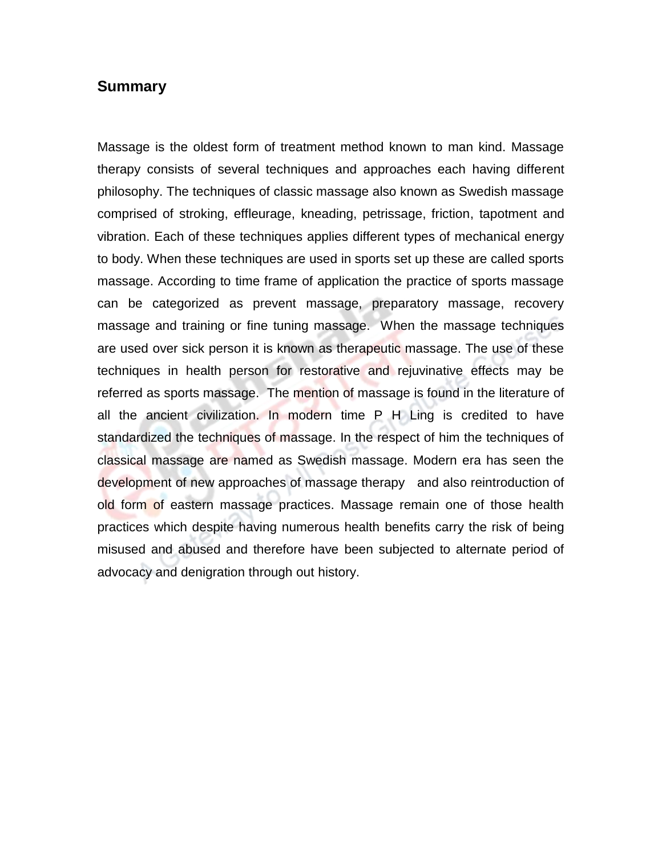#### **Summary**

Massage is the oldest form of treatment method known to man kind. Massage therapy consists of several techniques and approaches each having different philosophy. The techniques of classic massage also known as Swedish massage comprised of stroking, effleurage, kneading, petrissage, friction, tapotment and vibration. Each of these techniques applies different types of mechanical energy to body. When these techniques are used in sports set up these are called sports massage. According to time frame of application the practice of sports massage can be categorized as prevent massage, preparatory massage, recovery massage and training or fine tuning massage. When the massage techniques are used over sick person it is known as therapeutic massage. The use of these techniques in health person for restorative and rejuvinative effects may be referred as sports massage. The mention of massage is found in the literature of all the ancient civilization. In modern time P H Ling is credited to have standardized the techniques of massage. In the respect of him the techniques of classical massage are named as Swedish massage. Modern era has seen the development of new approaches of massage therapy and also reintroduction of old form of eastern massage practices. Massage remain one of those health practices which despite having numerous health benefits carry the risk of being misused and abused and therefore have been subjected to alternate period of advocacy and denigration through out history.